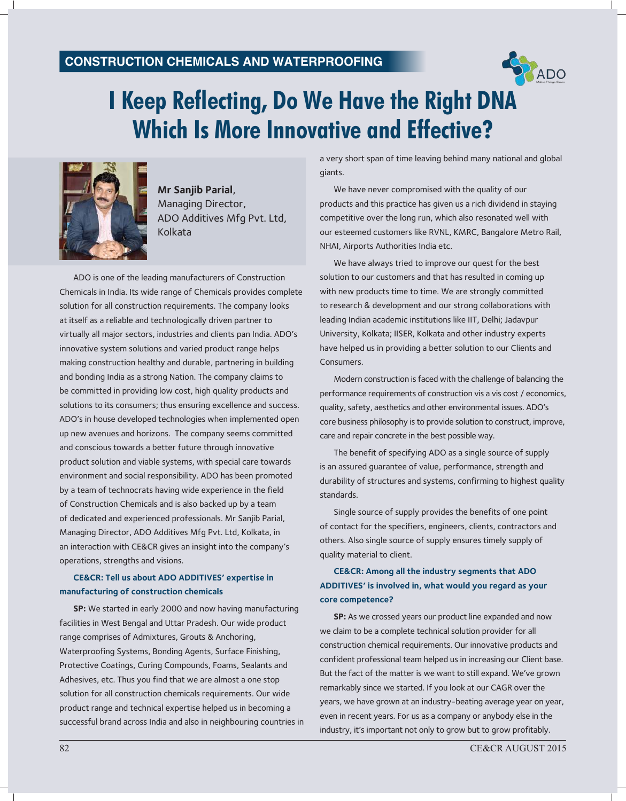# **ConstruCtion ChemiCals and Waterproofing**



# **I Keep Reflecting, Do We Have the Right DNA Which Is More Innovative and Effective?**



**Mr Sanjib Parial**, Managing Director, ADO Additives Mfg Pvt. Ltd, Kolkata

ADO is one of the leading manufacturers of Construction Chemicals in India. Its wide range of Chemicals provides complete solution for all construction requirements. The company looks at itself as a reliable and technologically driven partner to virtually all major sectors, industries and clients pan India. ADO's innovative system solutions and varied product range helps making construction healthy and durable, partnering in building and bonding India as a strong Nation. The company claims to be committed in providing low cost, high quality products and solutions to its consumers; thus ensuring excellence and success. ADO's in house developed technologies when implemented open up new avenues and horizons. The company seems committed and conscious towards a better future through innovative product solution and viable systems, with special care towards environment and social responsibility. ADO has been promoted by a team of technocrats having wide experience in the field of Construction Chemicals and is also backed up by a team of dedicated and experienced professionals. Mr Sanjib Parial, Managing Director, ADO Additives Mfg Pvt. Ltd, Kolkata, in an interaction with CE&CR gives an insight into the company's operations, strengths and visions.

#### **CE&CR: Tell us about ADO ADDITIVES' expertise in manufacturing of construction chemicals**

**SP:** We started in early 2000 and now having manufacturing facilities in West Bengal and Uttar Pradesh. Our wide product range comprises of Admixtures, Grouts & Anchoring, Waterproofing Systems, Bonding Agents, Surface Finishing, Protective Coatings, Curing Compounds, Foams, Sealants and Adhesives, etc. Thus you find that we are almost a one stop solution for all construction chemicals requirements. Our wide product range and technical expertise helped us in becoming a successful brand across India and also in neighbouring countries in a very short span of time leaving behind many national and global giants.

We have never compromised with the quality of our products and this practice has given us a rich dividend in staying competitive over the long run, which also resonated well with our esteemed customers like RVNL, KMRC, Bangalore Metro Rail, NHAI, Airports Authorities India etc.

We have always tried to improve our quest for the best solution to our customers and that has resulted in coming up with new products time to time. We are strongly committed to research & development and our strong collaborations with leading Indian academic institutions like IIT, Delhi; Jadavpur University, Kolkata; IISER, Kolkata and other industry experts have helped us in providing a better solution to our Clients and Consumers.

Modern construction is faced with the challenge of balancing the performance requirements of construction vis a vis cost / economics, quality, safety, aesthetics and other environmental issues. ADO's core business philosophy is to provide solution to construct, improve, care and repair concrete in the best possible way.

The benefit of specifying ADO as a single source of supply is an assured guarantee of value, performance, strength and durability of structures and systems, confirming to highest quality standards.

Single source of supply provides the benefits of one point of contact for the specifiers, engineers, clients, contractors and others. Also single source of supply ensures timely supply of quality material to client.

# **CE&CR: Among all the industry segments that ADO ADDITIVES' is involved in, what would you regard as your core competence?**

**SP:** As we crossed years our product line expanded and now we claim to be a complete technical solution provider for all construction chemical requirements. Our innovative products and confident professional team helped us in increasing our Client base. But the fact of the matter is we want to still expand. We've grown remarkably since we started. If you look at our CAGR over the years, we have grown at an industry-beating average year on year, even in recent years. For us as a company or anybody else in the industry, it's important not only to grow but to grow profitably.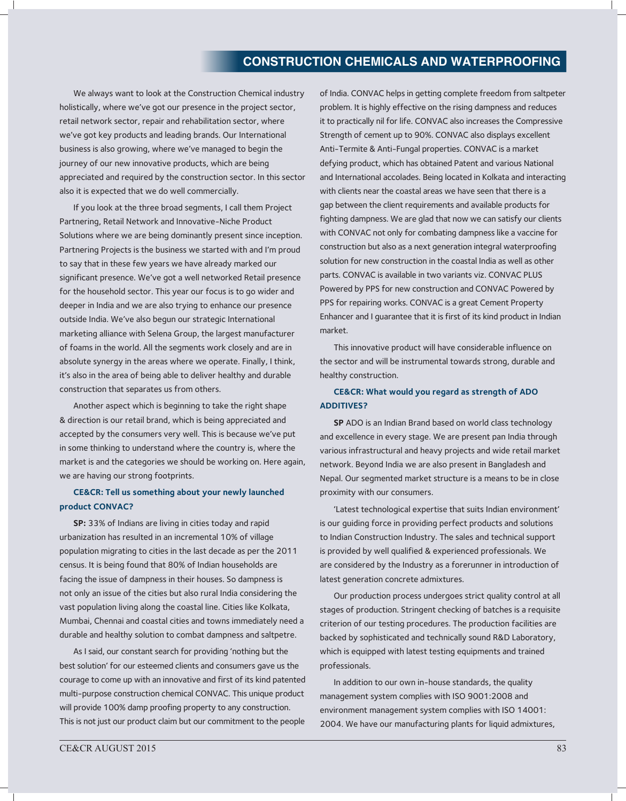# **ConstruCtion ChemiCals and Waterproofing**

We always want to look at the Construction Chemical industry holistically, where we've got our presence in the project sector, retail network sector, repair and rehabilitation sector, where we've got key products and leading brands. Our International business is also growing, where we've managed to begin the journey of our new innovative products, which are being appreciated and required by the construction sector. In this sector also it is expected that we do well commercially.

If you look at the three broad segments, I call them Project Partnering, Retail Network and Innovative-Niche Product Solutions where we are being dominantly present since inception. Partnering Projects is the business we started with and I'm proud to say that in these few years we have already marked our significant presence. We've got a well networked Retail presence for the household sector. This year our focus is to go wider and deeper in India and we are also trying to enhance our presence outside India. We've also begun our strategic International marketing alliance with Selena Group, the largest manufacturer of foams in the world. All the segments work closely and are in absolute synergy in the areas where we operate. Finally, I think, it's also in the area of being able to deliver healthy and durable construction that separates us from others.

Another aspect which is beginning to take the right shape & direction is our retail brand, which is being appreciated and accepted by the consumers very well. This is because we've put in some thinking to understand where the country is, where the market is and the categories we should be working on. Here again, we are having our strong footprints.

### **CE&CR: Tell us something about your newly launched product CONVAC?**

**SP:** 33% of Indians are living in cities today and rapid urbanization has resulted in an incremental 10% of village population migrating to cities in the last decade as per the 2011 census. It is being found that 80% of Indian households are facing the issue of dampness in their houses. So dampness is not only an issue of the cities but also rural India considering the vast population living along the coastal line. Cities like Kolkata, Mumbai, Chennai and coastal cities and towns immediately need a durable and healthy solution to combat dampness and saltpetre.

As I said, our constant search for providing 'nothing but the best solution' for our esteemed clients and consumers gave us the courage to come up with an innovative and first of its kind patented multi-purpose construction chemical CONVAC. This unique product will provide 100% damp proofing property to any construction. This is not just our product claim but our commitment to the people

of India. CONVAC helps in getting complete freedom from saltpeter problem. It is highly effective on the rising dampness and reduces it to practically nil for life. CONVAC also increases the Compressive Strength of cement up to 90%. CONVAC also displays excellent Anti-Termite & Anti-Fungal properties. CONVAC is a market defying product, which has obtained Patent and various National and International accolades. Being located in Kolkata and interacting with clients near the coastal areas we have seen that there is a gap between the client requirements and available products for fighting dampness. We are glad that now we can satisfy our clients with CONVAC not only for combating dampness like a vaccine for construction but also as a next generation integral waterproofing solution for new construction in the coastal India as well as other parts. CONVAC is available in two variants viz. CONVAC PLUS Powered by PPS for new construction and CONVAC Powered by PPS for repairing works. CONVAC is a great Cement Property Enhancer and I guarantee that it is first of its kind product in Indian market.

This innovative product will have considerable influence on the sector and will be instrumental towards strong, durable and healthy construction.

### **CE&CR: What would you regard as strength of ADO ADDITIVES?**

**SP** ADO is an Indian Brand based on world class technology and excellence in every stage. We are present pan India through various infrastructural and heavy projects and wide retail market network. Beyond India we are also present in Bangladesh and Nepal. Our segmented market structure is a means to be in close proximity with our consumers.

'Latest technological expertise that suits Indian environment' is our guiding force in providing perfect products and solutions to Indian Construction Industry. The sales and technical support is provided by well qualified & experienced professionals. We are considered by the Industry as a forerunner in introduction of latest generation concrete admixtures.

Our production process undergoes strict quality control at all stages of production. Stringent checking of batches is a requisite criterion of our testing procedures. The production facilities are backed by sophisticated and technically sound R&D Laboratory, which is equipped with latest testing equipments and trained professionals.

In addition to our own in-house standards, the quality management system complies with ISO 9001:2008 and environment management system complies with ISO 14001: 2004. We have our manufacturing plants for liquid admixtures,